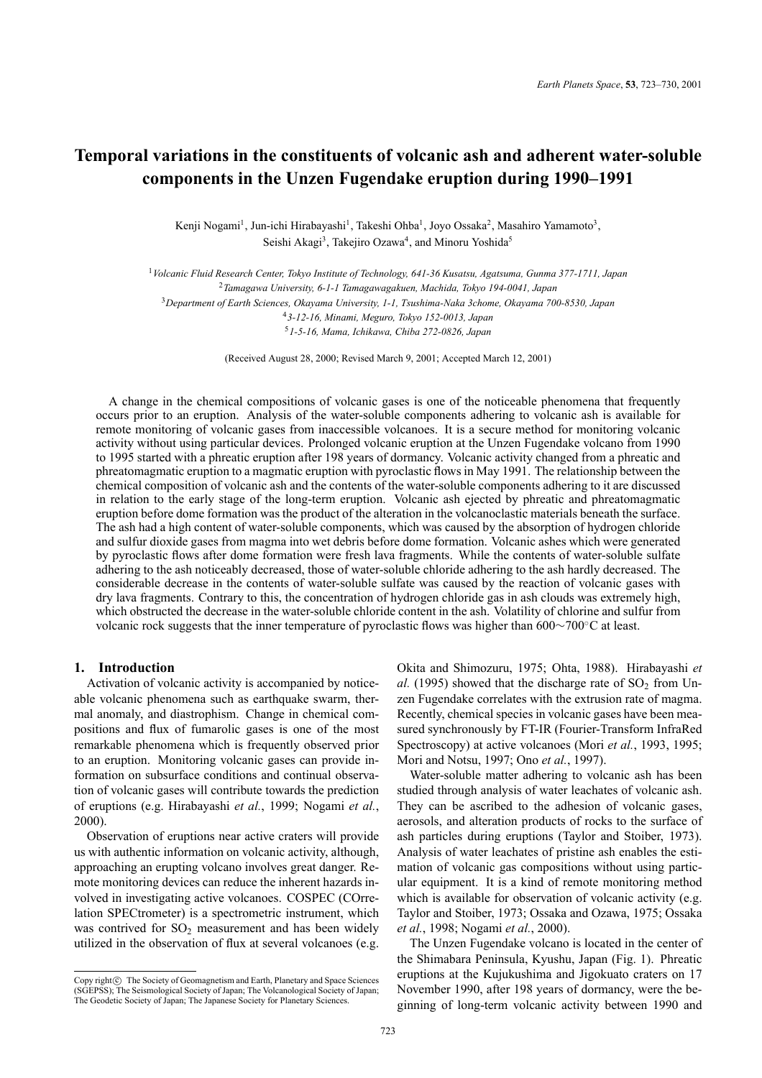# **Temporal variations in the constituents of volcanic ash and adherent water-soluble components in the Unzen Fugendake eruption during 1990–1991**

Kenji Nogami<sup>1</sup>, Jun-ichi Hirabayashi<sup>1</sup>, Takeshi Ohba<sup>1</sup>, Joyo Ossaka<sup>2</sup>, Masahiro Yamamoto<sup>3</sup>, Seishi Akagi<sup>3</sup>, Takejiro Ozawa<sup>4</sup>, and Minoru Yoshida<sup>5</sup>

*Volcanic Fluid Research Center, Tokyo Institute of Technology, 641-36 Kusatsu, Agatsuma, Gunma 377-1711, Japan Tamagawa University, 6-1-1 Tamagawagakuen, Machida, Tokyo 194-0041, Japan Department of Earth Sciences, Okayama University, 1-1, Tsushima-Naka 3chome, Okayama 700-8530, Japan 3-12-16, Minami, Meguro, Tokyo 152-0013, Japan 1-5-16, Mama, Ichikawa, Chiba 272-0826, Japan*

(Received August 28, 2000; Revised March 9, 2001; Accepted March 12, 2001)

A change in the chemical compositions of volcanic gases is one of the noticeable phenomena that frequently occurs prior to an eruption. Analysis of the water-soluble components adhering to volcanic ash is available for remote monitoring of volcanic gases from inaccessible volcanoes. It is a secure method for monitoring volcanic activity without using particular devices. Prolonged volcanic eruption at the Unzen Fugendake volcano from 1990 to 1995 started with a phreatic eruption after 198 years of dormancy. Volcanic activity changed from a phreatic and phreatomagmatic eruption to a magmatic eruption with pyroclastic flows in May 1991. The relationship between the chemical composition of volcanic ash and the contents of the water-soluble components adhering to it are discussed in relation to the early stage of the long-term eruption. Volcanic ash ejected by phreatic and phreatomagmatic eruption before dome formation was the product of the alteration in the volcanoclastic materials beneath the surface. The ash had a high content of water-soluble components, which was caused by the absorption of hydrogen chloride and sulfur dioxide gases from magma into wet debris before dome formation. Volcanic ashes which were generated by pyroclastic flows after dome formation were fresh lava fragments. While the contents of water-soluble sulfate adhering to the ash noticeably decreased, those of water-soluble chloride adhering to the ash hardly decreased. The considerable decrease in the contents of water-soluble sulfate was caused by the reaction of volcanic gases with dry lava fragments. Contrary to this, the concentration of hydrogen chloride gas in ash clouds was extremely high, which obstructed the decrease in the water-soluble chloride content in the ash. Volatility of chlorine and sulfur from volcanic rock suggests that the inner temperature of pyroclastic flows was higher than 600∼700◦C at least.

# **1. Introduction**

Activation of volcanic activity is accompanied by noticeable volcanic phenomena such as earthquake swarm, thermal anomaly, and diastrophism. Change in chemical compositions and flux of fumarolic gases is one of the most remarkable phenomena which is frequently observed prior to an eruption. Monitoring volcanic gases can provide information on subsurface conditions and continual observation of volcanic gases will contribute towards the prediction of eruptions (e.g. Hirabayashi *et al.*, 1999; Nogami *et al.*, 2000).

Observation of eruptions near active craters will provide us with authentic information on volcanic activity, although, approaching an erupting volcano involves great danger. Remote monitoring devices can reduce the inherent hazards involved in investigating active volcanoes. COSPEC (COrrelation SPECtrometer) is a spectrometric instrument, which was contrived for  $SO_2$  measurement and has been widely utilized in the observation of flux at several volcanoes (e.g. Okita and Shimozuru, 1975; Ohta, 1988). Hirabayashi *et al.* (1995) showed that the discharge rate of  $SO<sub>2</sub>$  from Unzen Fugendake correlates with the extrusion rate of magma. Recently, chemical species in volcanic gases have been measured synchronously by FT-IR (Fourier-Transform InfraRed Spectroscopy) at active volcanoes (Mori *et al.*, 1993, 1995; Mori and Notsu, 1997; Ono *et al.*, 1997).

Water-soluble matter adhering to volcanic ash has been studied through analysis of water leachates of volcanic ash. They can be ascribed to the adhesion of volcanic gases, aerosols, and alteration products of rocks to the surface of ash particles during eruptions (Taylor and Stoiber, 1973). Analysis of water leachates of pristine ash enables the estimation of volcanic gas compositions without using particular equipment. It is a kind of remote monitoring method which is available for observation of volcanic activity (e.g. Taylor and Stoiber, 1973; Ossaka and Ozawa, 1975; Ossaka *et al.*, 1998; Nogami *et al.*, 2000).

The Unzen Fugendake volcano is located in the center of the Shimabara Peninsula, Kyushu, Japan (Fig. 1). Phreatic eruptions at the Kujukushima and Jigokuato craters on 17 November 1990, after 198 years of dormancy, were the beginning of long-term volcanic activity between 1990 and

Copy right $\odot$  The Society of Geomagnetism and Earth, Planetary and Space Sciences (SGEPSS); The Seismological Society of Japan; The Volcanological Society of Japan; The Geodetic Society of Japan; The Japanese Society for Planetary Sciences.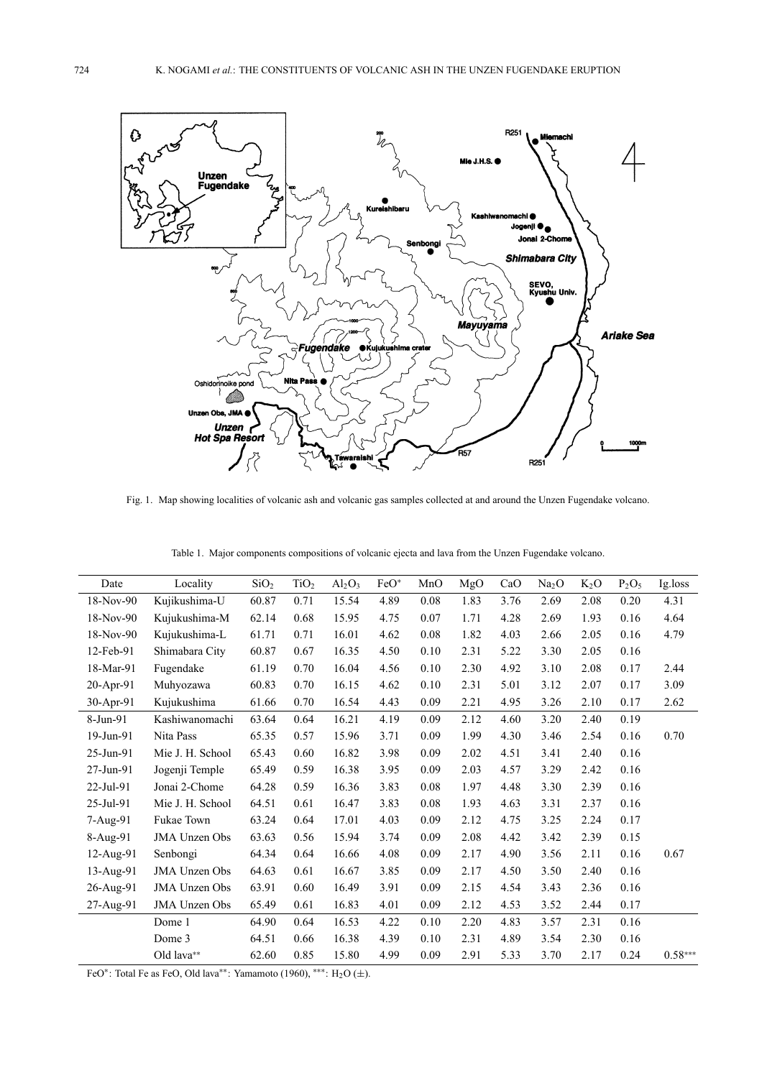

Fig. 1. Map showing localities of volcanic ash and volcanic gas samples collected at and around the Unzen Fugendake volcano.

|  |  |  | Table 1. Major components compositions of volcanic ejecta and lava from the Unzen Fugendake volcano. |
|--|--|--|------------------------------------------------------------------------------------------------------|
|  |  |  |                                                                                                      |

| Date      | Locality             | SiO <sub>2</sub> | TiO <sub>2</sub> | $Al_2O_3$ | $FeO*$ | MnO  | MgO  | CaO  | Na <sub>2</sub> O | $K_2O$ | $P_2O_5$ | Ig.loss   |
|-----------|----------------------|------------------|------------------|-----------|--------|------|------|------|-------------------|--------|----------|-----------|
| 18-Nov-90 | Kujikushima-U        | 60.87            | 0.71             | 15.54     | 4.89   | 0.08 | 1.83 | 3.76 | 2.69              | 2.08   | 0.20     | 4.31      |
| 18-Nov-90 | Kujukushima-M        | 62.14            | 0.68             | 15.95     | 4.75   | 0.07 | 1.71 | 4.28 | 2.69              | 1.93   | 0.16     | 4.64      |
| 18-Nov-90 | Kujukushima-L        | 61.71            | 0.71             | 16.01     | 4.62   | 0.08 | 1.82 | 4.03 | 2.66              | 2.05   | 0.16     | 4.79      |
| 12-Feb-91 | Shimabara City       | 60.87            | 0.67             | 16.35     | 4.50   | 0.10 | 2.31 | 5.22 | 3.30              | 2.05   | 0.16     |           |
| 18-Mar-91 | Fugendake            | 61.19            | 0.70             | 16.04     | 4.56   | 0.10 | 2.30 | 4.92 | 3.10              | 2.08   | 0.17     | 2.44      |
| 20-Apr-91 | Muhyozawa            | 60.83            | 0.70             | 16.15     | 4.62   | 0.10 | 2.31 | 5.01 | 3.12              | 2.07   | 0.17     | 3.09      |
| 30-Apr-91 | Kujukushima          | 61.66            | 0.70             | 16.54     | 4.43   | 0.09 | 2.21 | 4.95 | 3.26              | 2.10   | 0.17     | 2.62      |
| 8-Jun-91  | Kashiwanomachi       | 63.64            | 0.64             | 16.21     | 4.19   | 0.09 | 2.12 | 4.60 | 3.20              | 2.40   | 0.19     |           |
| 19-Jun-91 | Nita Pass            | 65.35            | 0.57             | 15.96     | 3.71   | 0.09 | 1.99 | 4.30 | 3.46              | 2.54   | 0.16     | 0.70      |
| 25-Jun-91 | Mie J. H. School     | 65.43            | 0.60             | 16.82     | 3.98   | 0.09 | 2.02 | 4.51 | 3.41              | 2.40   | 0.16     |           |
| 27-Jun-91 | Jogenji Temple       | 65.49            | 0.59             | 16.38     | 3.95   | 0.09 | 2.03 | 4.57 | 3.29              | 2.42   | 0.16     |           |
| 22-Jul-91 | Jonai 2-Chome        | 64.28            | 0.59             | 16.36     | 3.83   | 0.08 | 1.97 | 4.48 | 3.30              | 2.39   | 0.16     |           |
| 25-Jul-91 | Mie J. H. School     | 64.51            | 0.61             | 16.47     | 3.83   | 0.08 | 1.93 | 4.63 | 3.31              | 2.37   | 0.16     |           |
| 7-Aug-91  | <b>Fukae Town</b>    | 63.24            | 0.64             | 17.01     | 4.03   | 0.09 | 2.12 | 4.75 | 3.25              | 2.24   | 0.17     |           |
| 8-Aug-91  | <b>JMA</b> Unzen Obs | 63.63            | 0.56             | 15.94     | 3.74   | 0.09 | 2.08 | 4.42 | 3.42              | 2.39   | 0.15     |           |
| 12-Aug-91 | Senbongi             | 64.34            | 0.64             | 16.66     | 4.08   | 0.09 | 2.17 | 4.90 | 3.56              | 2.11   | 0.16     | 0.67      |
| 13-Aug-91 | <b>JMA</b> Unzen Obs | 64.63            | 0.61             | 16.67     | 3.85   | 0.09 | 2.17 | 4.50 | 3.50              | 2.40   | 0.16     |           |
| 26-Aug-91 | <b>JMA Unzen Obs</b> | 63.91            | 0.60             | 16.49     | 3.91   | 0.09 | 2.15 | 4.54 | 3.43              | 2.36   | 0.16     |           |
| 27-Aug-91 | <b>JMA Unzen Obs</b> | 65.49            | 0.61             | 16.83     | 4.01   | 0.09 | 2.12 | 4.53 | 3.52              | 2.44   | 0.17     |           |
|           | Dome 1               | 64.90            | 0.64             | 16.53     | 4.22   | 0.10 | 2.20 | 4.83 | 3.57              | 2.31   | 0.16     |           |
|           | Dome 3               | 64.51            | 0.66             | 16.38     | 4.39   | 0.10 | 2.31 | 4.89 | 3.54              | 2.30   | 0.16     |           |
|           | Old lava**           | 62.60            | 0.85             | 15.80     | 4.99   | 0.09 | 2.91 | 5.33 | 3.70              | 2.17   | 0.24     | $0.58***$ |

FeO∗: Total Fe as FeO, Old lava∗∗: Yamamoto (1960), ∗∗∗: H2O (±).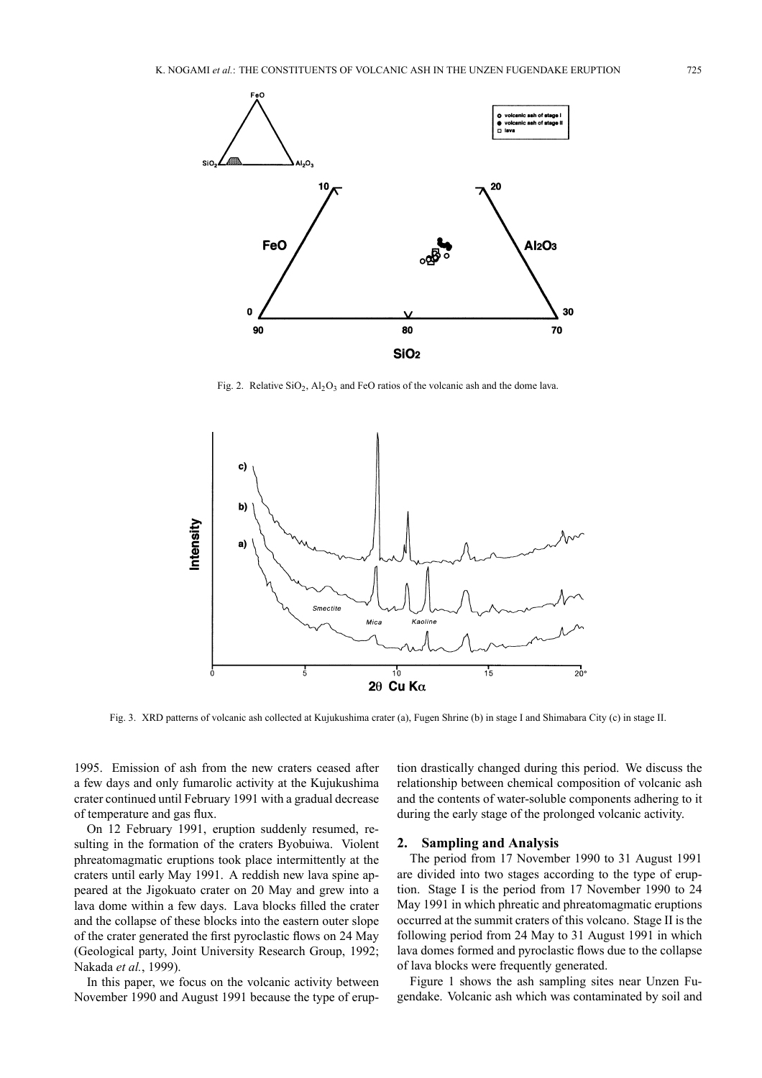

Fig. 2. Relative  $SiO_2$ ,  $Al_2O_3$  and FeO ratios of the volcanic ash and the dome lava.



Fig. 3. XRD patterns of volcanic ash collected at Kujukushima crater (a), Fugen Shrine (b) in stage I and Shimabara City (c) in stage II.

1995. Emission of ash from the new craters ceased after a few days and only fumarolic activity at the Kujukushima crater continued until February 1991 with a gradual decrease of temperature and gas flux.

On 12 February 1991, eruption suddenly resumed, resulting in the formation of the craters Byobuiwa. Violent phreatomagmatic eruptions took place intermittently at the craters until early May 1991. A reddish new lava spine appeared at the Jigokuato crater on 20 May and grew into a lava dome within a few days. Lava blocks filled the crater and the collapse of these blocks into the eastern outer slope of the crater generated the first pyroclastic flows on 24 May (Geological party, Joint University Research Group, 1992; Nakada *et al.*, 1999).

In this paper, we focus on the volcanic activity between November 1990 and August 1991 because the type of eruption drastically changed during this period. We discuss the relationship between chemical composition of volcanic ash and the contents of water-soluble components adhering to it during the early stage of the prolonged volcanic activity.

## **2. Sampling and Analysis**

The period from 17 November 1990 to 31 August 1991 are divided into two stages according to the type of eruption. Stage I is the period from 17 November 1990 to 24 May 1991 in which phreatic and phreatomagmatic eruptions occurred at the summit craters of this volcano. Stage II is the following period from 24 May to 31 August 1991 in which lava domes formed and pyroclastic flows due to the collapse of lava blocks were frequently generated.

Figure 1 shows the ash sampling sites near Unzen Fugendake. Volcanic ash which was contaminated by soil and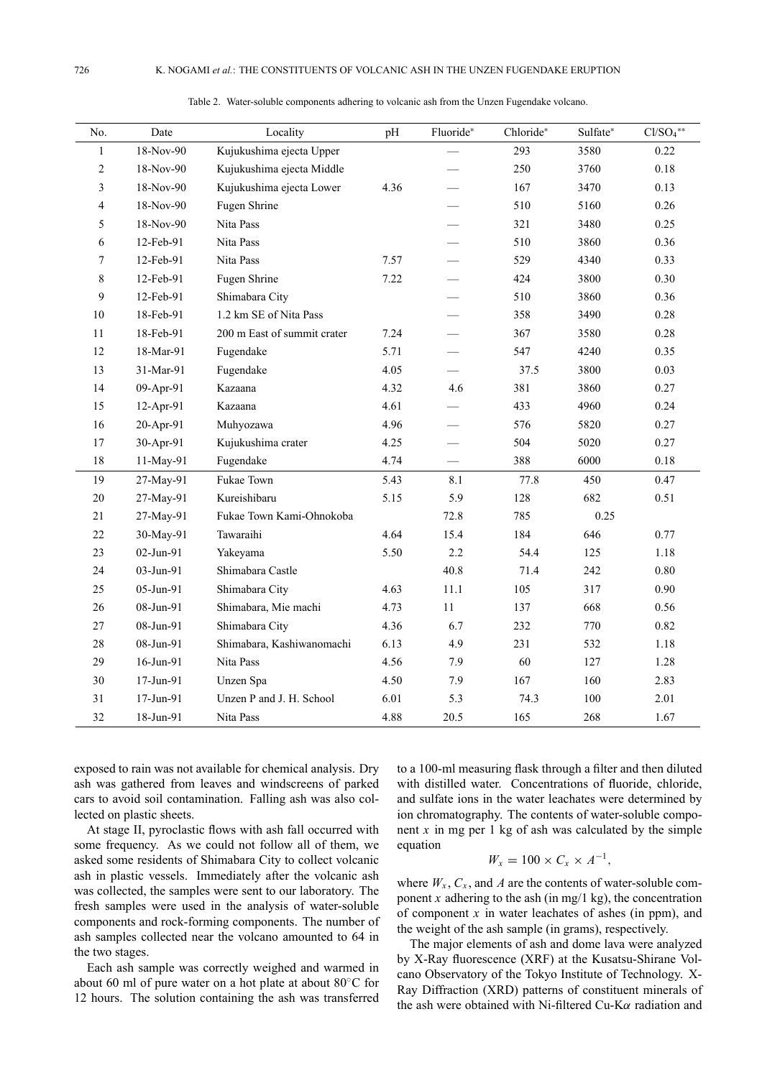| No.            | Date      | Locality                    | pH   | Fluoride*                | Chloride* | Sulfate* | $Cl/SO4**$ |
|----------------|-----------|-----------------------------|------|--------------------------|-----------|----------|------------|
| $\mathbf{1}$   | 18-Nov-90 | Kujukushima ejecta Upper    |      |                          | 293       | 3580     | 0.22       |
| $\overline{c}$ | 18-Nov-90 | Kujukushima ejecta Middle   |      |                          | 250       | 3760     | $0.18\,$   |
| 3              | 18-Nov-90 | Kujukushima ejecta Lower    | 4.36 | $\overline{\phantom{0}}$ | 167       | 3470     | 0.13       |
| 4              | 18-Nov-90 | Fugen Shrine                |      |                          | 510       | 5160     | 0.26       |
| 5              | 18-Nov-90 | Nita Pass                   |      |                          | 321       | 3480     | 0.25       |
| 6              | 12-Feb-91 | Nita Pass                   |      |                          | 510       | 3860     | 0.36       |
| 7              | 12-Feb-91 | Nita Pass                   | 7.57 |                          | 529       | 4340     | 0.33       |
| 8              | 12-Feb-91 | Fugen Shrine                | 7.22 |                          | 424       | 3800     | 0.30       |
| 9              | 12-Feb-91 | Shimabara City              |      |                          | 510       | 3860     | 0.36       |
| 10             | 18-Feb-91 | 1.2 km SE of Nita Pass      |      |                          | 358       | 3490     | 0.28       |
| 11             | 18-Feb-91 | 200 m East of summit crater | 7.24 |                          | 367       | 3580     | 0.28       |
| 12             | 18-Mar-91 | Fugendake                   | 5.71 | $\overline{\phantom{0}}$ | 547       | 4240     | 0.35       |
| 13             | 31-Mar-91 | Fugendake                   | 4.05 |                          | 37.5      | 3800     | 0.03       |
| 14             | 09-Apr-91 | Kazaana                     | 4.32 | 4.6                      | 381       | 3860     | 0.27       |
| 15             | 12-Apr-91 | Kazaana                     | 4.61 |                          | 433       | 4960     | 0.24       |
| 16             | 20-Apr-91 | Muhyozawa                   | 4.96 |                          | 576       | 5820     | 0.27       |
| 17             | 30-Apr-91 | Kujukushima crater          | 4.25 |                          | 504       | 5020     | 0.27       |
| 18             | 11-May-91 | Fugendake                   | 4.74 |                          | 388       | 6000     | 0.18       |
| 19             | 27-May-91 | Fukae Town                  | 5.43 | 8.1                      | 77.8      | 450      | 0.47       |
| 20             | 27-May-91 | Kureishibaru                | 5.15 | 5.9                      | 128       | 682      | 0.51       |
| 21             | 27-May-91 | Fukae Town Kami-Ohnokoba    |      | 72.8                     | 785       | 0.25     |            |
| 22             | 30-May-91 | Tawaraihi                   | 4.64 | 15.4                     | 184       | 646      | 0.77       |
| 23             | 02-Jun-91 | Yakeyama                    | 5.50 | 2.2                      | 54.4      | 125      | 1.18       |
| 24             | 03-Jun-91 | Shimabara Castle            |      | 40.8                     | 71.4      | 242      | $0.80\,$   |
| 25             | 05-Jun-91 | Shimabara City              | 4.63 | 11.1                     | 105       | 317      | 0.90       |
| 26             | 08-Jun-91 | Shimabara, Mie machi        | 4.73 | 11                       | 137       | 668      | 0.56       |
| 27             | 08-Jun-91 | Shimabara City              | 4.36 | 6.7                      | 232       | 770      | 0.82       |
| 28             | 08-Jun-91 | Shimabara, Kashiwanomachi   | 6.13 | 4.9                      | 231       | 532      | 1.18       |
| 29             | 16-Jun-91 | Nita Pass                   | 4.56 | 7.9                      | 60        | 127      | 1.28       |
| 30             | 17-Jun-91 | Unzen Spa                   | 4.50 | 7.9                      | 167       | 160      | 2.83       |
| 31             | 17-Jun-91 | Unzen P and J. H. School    | 6.01 | 5.3                      | 74.3      | 100      | 2.01       |
| 32             | 18-Jun-91 | Nita Pass                   | 4.88 | 20.5                     | 165       | 268      | 1.67       |

Table 2. Water-soluble components adhering to volcanic ash from the Unzen Fugendake volcano.

exposed to rain was not available for chemical analysis. Dry ash was gathered from leaves and windscreens of parked cars to avoid soil contamination. Falling ash was also collected on plastic sheets.

At stage II, pyroclastic flows with ash fall occurred with some frequency. As we could not follow all of them, we asked some residents of Shimabara City to collect volcanic ash in plastic vessels. Immediately after the volcanic ash was collected, the samples were sent to our laboratory. The fresh samples were used in the analysis of water-soluble components and rock-forming components. The number of ash samples collected near the volcano amounted to 64 in the two stages.

Each ash sample was correctly weighed and warmed in about 60 ml of pure water on a hot plate at about 80◦C for 12 hours. The solution containing the ash was transferred

to a 100-ml measuring flask through a filter and then diluted with distilled water. Concentrations of fluoride, chloride, and sulfate ions in the water leachates were determined by ion chromatography. The contents of water-soluble component  $x$  in mg per 1 kg of ash was calculated by the simple equation

$$
W_x = 100 \times C_x \times A^{-1},
$$

where  $W_x$ ,  $C_x$ , and *A* are the contents of water-soluble component *x* adhering to the ash (in mg/1 kg), the concentration of component  $x$  in water leachates of ashes (in ppm), and the weight of the ash sample (in grams), respectively.

The major elements of ash and dome lava were analyzed by X-Ray fluorescence (XRF) at the Kusatsu-Shirane Volcano Observatory of the Tokyo Institute of Technology. X-Ray Diffraction (XRD) patterns of constituent minerals of the ash were obtained with Ni-filtered Cu-Kα radiation and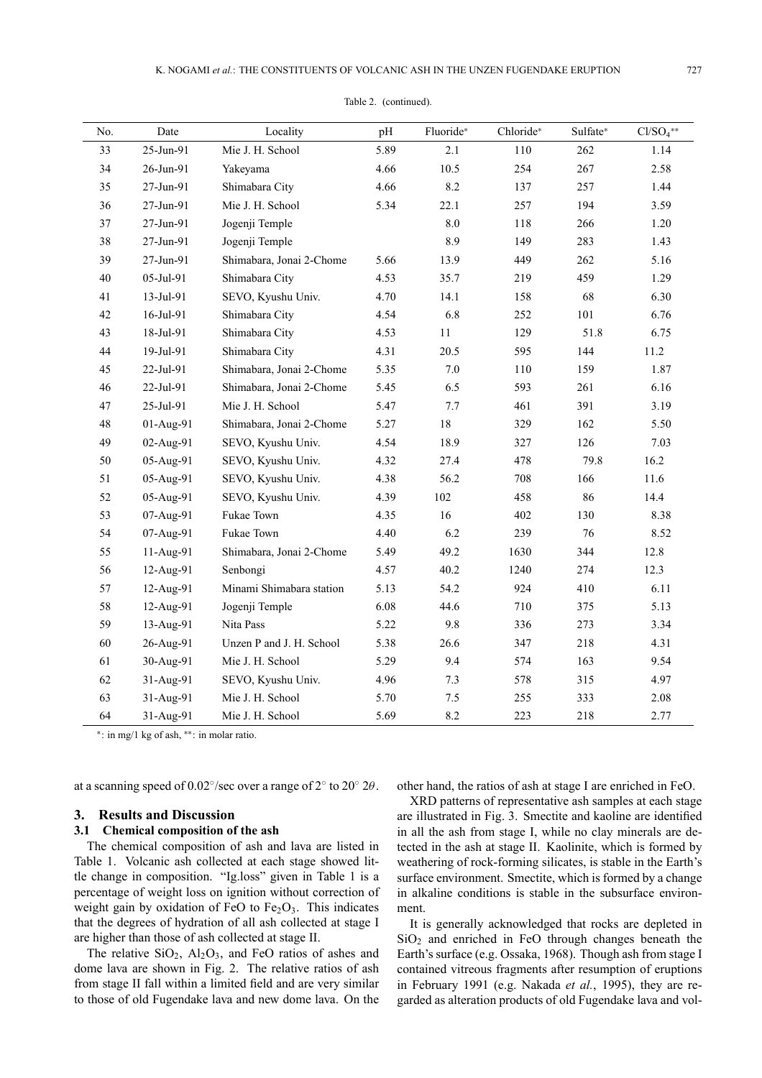| No. | Date      | Locality                 | pH   | Fluoride* | Chloride* | Sulfate* | $Cl/SO4**$ |
|-----|-----------|--------------------------|------|-----------|-----------|----------|------------|
| 33  | 25-Jun-91 | Mie J. H. School         | 5.89 | 2.1       | 110       | 262      | 1.14       |
| 34  | 26-Jun-91 | Yakeyama                 | 4.66 | 10.5      | 254       | 267      | 2.58       |
| 35  | 27-Jun-91 | Shimabara City           | 4.66 | 8.2       | 137       | 257      | 1.44       |
| 36  | 27-Jun-91 | Mie J. H. School         | 5.34 | 22.1      | 257       | 194      | 3.59       |
| 37  | 27-Jun-91 | Jogenji Temple           |      | 8.0       | 118       | 266      | 1.20       |
| 38  | 27-Jun-91 | Jogenji Temple           |      | 8.9       | 149       | 283      | 1.43       |
| 39  | 27-Jun-91 | Shimabara, Jonai 2-Chome | 5.66 | 13.9      | 449       | 262      | 5.16       |
| 40  | 05-Jul-91 | Shimabara City           | 4.53 | 35.7      | 219       | 459      | 1.29       |
| 41  | 13-Jul-91 | SEVO, Kyushu Univ.       | 4.70 | 14.1      | 158       | 68       | 6.30       |
| 42  | 16-Jul-91 | Shimabara City           | 4.54 | 6.8       | 252       | 101      | 6.76       |
| 43  | 18-Jul-91 | Shimabara City           | 4.53 | $11\,$    | 129       | 51.8     | 6.75       |
| 44  | 19-Jul-91 | Shimabara City           | 4.31 | 20.5      | 595       | 144      | 11.2       |
| 45  | 22-Jul-91 | Shimabara, Jonai 2-Chome | 5.35 | 7.0       | 110       | 159      | 1.87       |
| 46  | 22-Jul-91 | Shimabara, Jonai 2-Chome | 5.45 | 6.5       | 593       | 261      | 6.16       |
| 47  | 25-Jul-91 | Mie J. H. School         | 5.47 | 7.7       | 461       | 391      | 3.19       |
| 48  | 01-Aug-91 | Shimabara, Jonai 2-Chome | 5.27 | $18\,$    | 329       | 162      | 5.50       |
| 49  | 02-Aug-91 | SEVO, Kyushu Univ.       | 4.54 | 18.9      | 327       | 126      | 7.03       |
| 50  | 05-Aug-91 | SEVO, Kyushu Univ.       | 4.32 | 27.4      | 478       | 79.8     | 16.2       |
| 51  | 05-Aug-91 | SEVO, Kyushu Univ.       | 4.38 | 56.2      | 708       | 166      | 11.6       |
| 52  | 05-Aug-91 | SEVO, Kyushu Univ.       | 4.39 | 102       | 458       | 86       | 14.4       |
| 53  | 07-Aug-91 | Fukae Town               | 4.35 | 16        | 402       | 130      | 8.38       |
| 54  | 07-Aug-91 | Fukae Town               | 4.40 | 6.2       | 239       | 76       | 8.52       |
| 55  | 11-Aug-91 | Shimabara, Jonai 2-Chome | 5.49 | 49.2      | 1630      | 344      | 12.8       |
| 56  | 12-Aug-91 | Senbongi                 | 4.57 | 40.2      | 1240      | 274      | 12.3       |
| 57  | 12-Aug-91 | Minami Shimabara station | 5.13 | 54.2      | 924       | 410      | 6.11       |
| 58  | 12-Aug-91 | Jogenji Temple           | 6.08 | 44.6      | 710       | 375      | 5.13       |
| 59  | 13-Aug-91 | Nita Pass                | 5.22 | 9.8       | 336       | 273      | 3.34       |
| 60  | 26-Aug-91 | Unzen P and J. H. School | 5.38 | 26.6      | 347       | 218      | 4.31       |
| 61  | 30-Aug-91 | Mie J. H. School         | 5.29 | 9.4       | 574       | 163      | 9.54       |
| 62  | 31-Aug-91 | SEVO, Kyushu Univ.       | 4.96 | 7.3       | 578       | 315      | 4.97       |
| 63  | 31-Aug-91 | Mie J. H. School         | 5.70 | 7.5       | 255       | 333      | 2.08       |
| 64  | 31-Aug-91 | Mie J. H. School         | 5.69 | 8.2       | 223       | 218      | 2.77       |

#### Table 2. (continued).

∗: in mg/1 kg of ash, ∗∗: in molar ratio.

at a scanning speed of  $0.02^{\circ}/sec$  over a range of  $2^{\circ}$  to  $20^{\circ}$   $2\theta$ .

#### **3. Results and Discussion**

### **3.1 Chemical composition of the ash**

The chemical composition of ash and lava are listed in Table 1. Volcanic ash collected at each stage showed little change in composition. "Ig.loss" given in Table 1 is a percentage of weight loss on ignition without correction of weight gain by oxidation of FeO to  $Fe<sub>2</sub>O<sub>3</sub>$ . This indicates that the degrees of hydration of all ash collected at stage I are higher than those of ash collected at stage II.

The relative  $SiO<sub>2</sub>$ ,  $Al<sub>2</sub>O<sub>3</sub>$ , and FeO ratios of ashes and dome lava are shown in Fig. 2. The relative ratios of ash from stage II fall within a limited field and are very similar to those of old Fugendake lava and new dome lava. On the

other hand, the ratios of ash at stage I are enriched in FeO.

XRD patterns of representative ash samples at each stage are illustrated in Fig. 3. Smectite and kaoline are identified in all the ash from stage I, while no clay minerals are detected in the ash at stage II. Kaolinite, which is formed by weathering of rock-forming silicates, is stable in the Earth's surface environment. Smectite, which is formed by a change in alkaline conditions is stable in the subsurface environment.

It is generally acknowledged that rocks are depleted in  $SiO<sub>2</sub>$  and enriched in FeO through changes beneath the Earth's surface (e.g. Ossaka, 1968). Though ash from stage I contained vitreous fragments after resumption of eruptions in February 1991 (e.g. Nakada *et al.*, 1995), they are regarded as alteration products of old Fugendake lava and vol-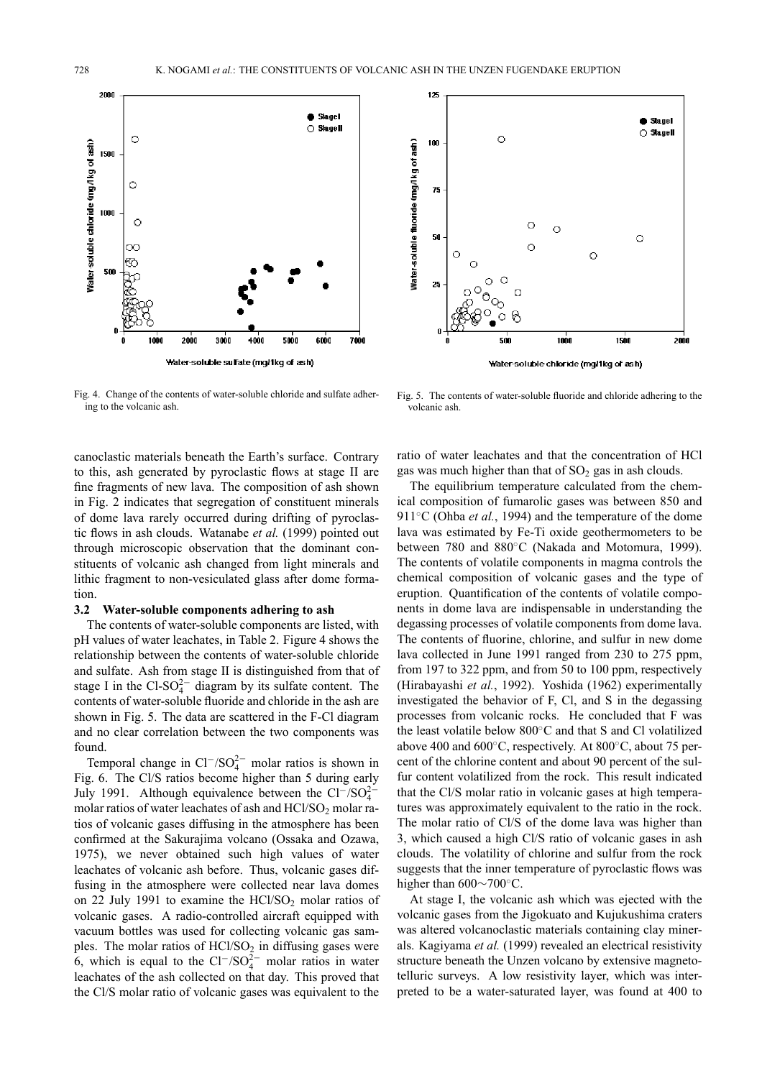



Fig. 4. Change of the contents of water-soluble chloride and sulfate adhering to the volcanic ash.

canoclastic materials beneath the Earth's surface. Contrary to this, ash generated by pyroclastic flows at stage II are fine fragments of new lava. The composition of ash shown in Fig. 2 indicates that segregation of constituent minerals of dome lava rarely occurred during drifting of pyroclastic flows in ash clouds. Watanabe *et al.* (1999) pointed out through microscopic observation that the dominant constituents of volcanic ash changed from light minerals and lithic fragment to non-vesiculated glass after dome formation.

#### **3.2 Water-soluble components adhering to ash**

The contents of water-soluble components are listed, with pH values of water leachates, in Table 2. Figure 4 shows the relationship between the contents of water-soluble chloride and sulfate. Ash from stage II is distinguished from that of stage I in the  $Cl-SO<sub>4</sub><sup>2</sup>$  diagram by its sulfate content. The contents of water-soluble fluoride and chloride in the ash are shown in Fig. 5. The data are scattered in the F-Cl diagram and no clear correlation between the two components was found.

Temporal change in  $Cl^{-}/SO_4^{2-}$  molar ratios is shown in Fig. 6. The Cl/S ratios become higher than 5 during early July 1991. Although equivalence between the  $Cl^{-}/SO_4^{2-}$ molar ratios of water leachates of ash and  $HCl/SO<sub>2</sub>$  molar ratios of volcanic gases diffusing in the atmosphere has been confirmed at the Sakurajima volcano (Ossaka and Ozawa, 1975), we never obtained such high values of water leachates of volcanic ash before. Thus, volcanic gases diffusing in the atmosphere were collected near lava domes on 22 July 1991 to examine the  $HCVSO<sub>2</sub>$  molar ratios of volcanic gases. A radio-controlled aircraft equipped with vacuum bottles was used for collecting volcanic gas samples. The molar ratios of  $HC<sub>1</sub>/SO<sub>2</sub>$  in diffusing gases were 6, which is equal to the  $Cl^{-}/SO_4^{2-}$  molar ratios in water leachates of the ash collected on that day. This proved that the Cl/S molar ratio of volcanic gases was equivalent to the

Fig. 5. The contents of water-soluble fluoride and chloride adhering to the volcanic ash.

ratio of water leachates and that the concentration of HCl gas was much higher than that of  $SO<sub>2</sub>$  gas in ash clouds.

The equilibrium temperature calculated from the chemical composition of fumarolic gases was between 850 and 911<sup>°</sup>C (Ohba *et al.*, 1994) and the temperature of the dome lava was estimated by Fe-Ti oxide geothermometers to be between 780 and 880◦C (Nakada and Motomura, 1999). The contents of volatile components in magma controls the chemical composition of volcanic gases and the type of eruption. Quantification of the contents of volatile components in dome lava are indispensable in understanding the degassing processes of volatile components from dome lava. The contents of fluorine, chlorine, and sulfur in new dome lava collected in June 1991 ranged from 230 to 275 ppm, from 197 to 322 ppm, and from 50 to 100 ppm, respectively (Hirabayashi *et al.*, 1992). Yoshida (1962) experimentally investigated the behavior of F, Cl, and S in the degassing processes from volcanic rocks. He concluded that F was the least volatile below 800◦C and that S and Cl volatilized above 400 and 600◦C, respectively. At 800◦C, about 75 percent of the chlorine content and about 90 percent of the sulfur content volatilized from the rock. This result indicated that the Cl/S molar ratio in volcanic gases at high temperatures was approximately equivalent to the ratio in the rock. The molar ratio of Cl/S of the dome lava was higher than 3, which caused a high Cl/S ratio of volcanic gases in ash clouds. The volatility of chlorine and sulfur from the rock suggests that the inner temperature of pyroclastic flows was higher than 600∼700◦C.

At stage I, the volcanic ash which was ejected with the volcanic gases from the Jigokuato and Kujukushima craters was altered volcanoclastic materials containing clay minerals. Kagiyama *et al.* (1999) revealed an electrical resistivity structure beneath the Unzen volcano by extensive magnetotelluric surveys. A low resistivity layer, which was interpreted to be a water-saturated layer, was found at 400 to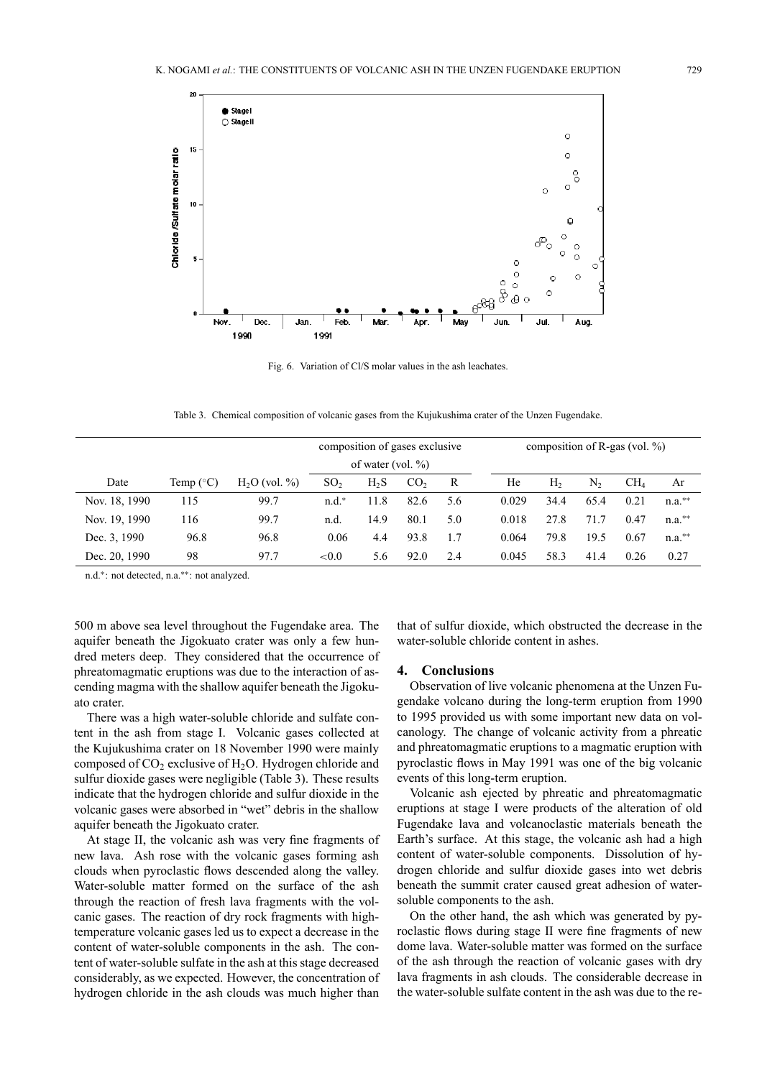

Fig. 6. Variation of Cl/S molar values in the ash leachates.

Table 3. Chemical composition of volcanic gases from the Kujukushima crater of the Unzen Fugendake.

|               |                               |                | composition of gases exclusive |      |                 |     |       |                | composition of R-gas (vol. $\%$ ) |                 |      |
|---------------|-------------------------------|----------------|--------------------------------|------|-----------------|-----|-------|----------------|-----------------------------------|-----------------|------|
|               |                               |                | of water (vol. $\%$ )          |      |                 |     |       |                |                                   |                 |      |
| Date          | Temp ( $\mathrm{^{\circ}C}$ ) | $H2O$ (vol. %) | SO <sub>2</sub>                | H, S | CO <sub>2</sub> | R   | He    | H <sub>2</sub> | N,                                | CH <sub>4</sub> | Ar   |
| Nov. 18, 1990 | 115                           | 99.7           | $n.d.*$                        | 11.8 | 82.6            | 5.6 | 0.029 | 34.4           | 65.4                              | 0.21            | n.a. |
| Nov. 19, 1990 | 116                           | 99.7           | n.d.                           | 14.9 | 80.1            | 5.0 | 0.018 | 27.8           | 71.7                              | 0.47            | n.a. |
| Dec. 3, 1990  | 96.8                          | 96.8           | 0.06                           | 4.4  | 93.8            | 1.7 | 0.064 | 79.8           | 19.5                              | 0.67            | n.a. |
| Dec. 20, 1990 | 98                            | 97.7           | ${<}0.0$                       | 5.6  | 92.0            | 2.4 | 0.045 | 58.3           | 41.4                              | 0.26            | 0.27 |

n.d.∗: not detected, n.a.∗∗: not analyzed.

500 m above sea level throughout the Fugendake area. The aquifer beneath the Jigokuato crater was only a few hundred meters deep. They considered that the occurrence of phreatomagmatic eruptions was due to the interaction of ascending magma with the shallow aquifer beneath the Jigokuato crater.

There was a high water-soluble chloride and sulfate content in the ash from stage I. Volcanic gases collected at the Kujukushima crater on 18 November 1990 were mainly composed of  $CO<sub>2</sub>$  exclusive of  $H<sub>2</sub>O$ . Hydrogen chloride and sulfur dioxide gases were negligible (Table 3). These results indicate that the hydrogen chloride and sulfur dioxide in the volcanic gases were absorbed in "wet" debris in the shallow aquifer beneath the Jigokuato crater.

At stage II, the volcanic ash was very fine fragments of new lava. Ash rose with the volcanic gases forming ash clouds when pyroclastic flows descended along the valley. Water-soluble matter formed on the surface of the ash through the reaction of fresh lava fragments with the volcanic gases. The reaction of dry rock fragments with hightemperature volcanic gases led us to expect a decrease in the content of water-soluble components in the ash. The content of water-soluble sulfate in the ash at this stage decreased considerably, as we expected. However, the concentration of hydrogen chloride in the ash clouds was much higher than

that of sulfur dioxide, which obstructed the decrease in the water-soluble chloride content in ashes.

## **4. Conclusions**

Observation of live volcanic phenomena at the Unzen Fugendake volcano during the long-term eruption from 1990 to 1995 provided us with some important new data on volcanology. The change of volcanic activity from a phreatic and phreatomagmatic eruptions to a magmatic eruption with pyroclastic flows in May 1991 was one of the big volcanic events of this long-term eruption.

Volcanic ash ejected by phreatic and phreatomagmatic eruptions at stage I were products of the alteration of old Fugendake lava and volcanoclastic materials beneath the Earth's surface. At this stage, the volcanic ash had a high content of water-soluble components. Dissolution of hydrogen chloride and sulfur dioxide gases into wet debris beneath the summit crater caused great adhesion of watersoluble components to the ash.

On the other hand, the ash which was generated by pyroclastic flows during stage II were fine fragments of new dome lava. Water-soluble matter was formed on the surface of the ash through the reaction of volcanic gases with dry lava fragments in ash clouds. The considerable decrease in the water-soluble sulfate content in the ash was due to the re